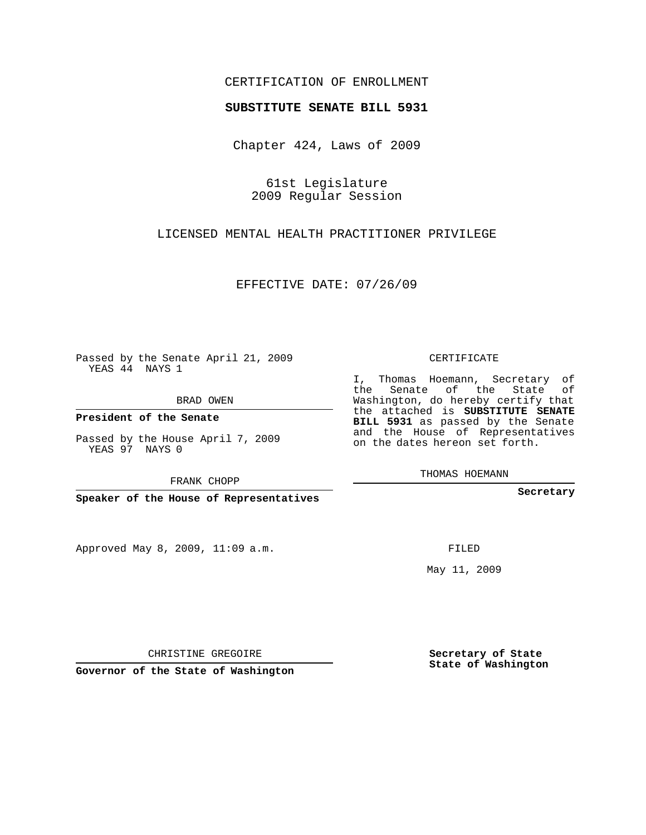## CERTIFICATION OF ENROLLMENT

## **SUBSTITUTE SENATE BILL 5931**

Chapter 424, Laws of 2009

61st Legislature 2009 Regular Session

LICENSED MENTAL HEALTH PRACTITIONER PRIVILEGE

EFFECTIVE DATE: 07/26/09

Passed by the Senate April 21, 2009 YEAS 44 NAYS 1

BRAD OWEN

**President of the Senate**

Passed by the House April 7, 2009 YEAS 97 NAYS 0

FRANK CHOPP

**Speaker of the House of Representatives**

Approved May 8, 2009, 11:09 a.m.

CERTIFICATE

I, Thomas Hoemann, Secretary of the Senate of the State of Washington, do hereby certify that the attached is **SUBSTITUTE SENATE BILL 5931** as passed by the Senate and the House of Representatives on the dates hereon set forth.

THOMAS HOEMANN

**Secretary**

FILED

May 11, 2009

**Secretary of State State of Washington**

CHRISTINE GREGOIRE

**Governor of the State of Washington**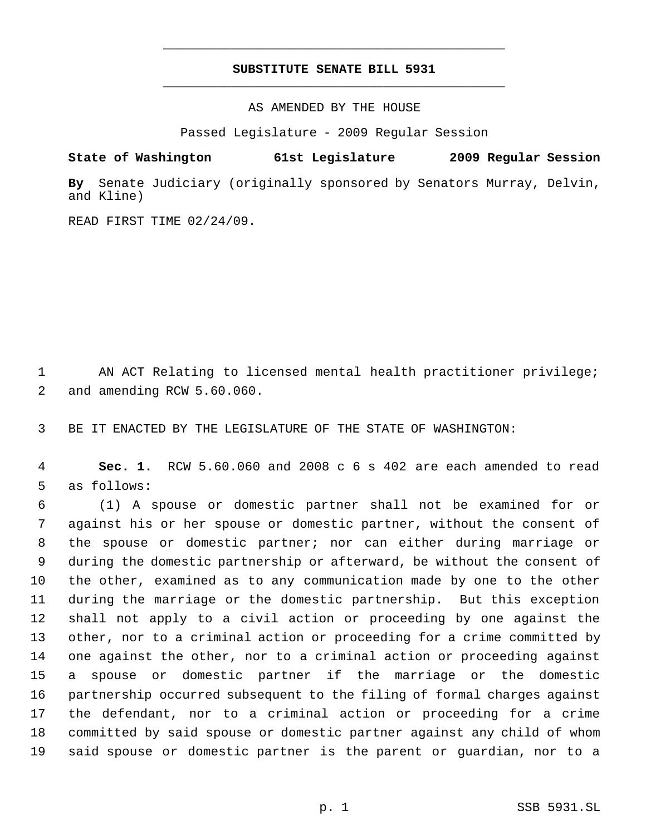## **SUBSTITUTE SENATE BILL 5931** \_\_\_\_\_\_\_\_\_\_\_\_\_\_\_\_\_\_\_\_\_\_\_\_\_\_\_\_\_\_\_\_\_\_\_\_\_\_\_\_\_\_\_\_\_

\_\_\_\_\_\_\_\_\_\_\_\_\_\_\_\_\_\_\_\_\_\_\_\_\_\_\_\_\_\_\_\_\_\_\_\_\_\_\_\_\_\_\_\_\_

AS AMENDED BY THE HOUSE

Passed Legislature - 2009 Regular Session

**State of Washington 61st Legislature 2009 Regular Session**

**By** Senate Judiciary (originally sponsored by Senators Murray, Delvin, and Kline)

READ FIRST TIME 02/24/09.

 AN ACT Relating to licensed mental health practitioner privilege; and amending RCW 5.60.060.

BE IT ENACTED BY THE LEGISLATURE OF THE STATE OF WASHINGTON:

 **Sec. 1.** RCW 5.60.060 and 2008 c 6 s 402 are each amended to read as follows:

 (1) A spouse or domestic partner shall not be examined for or against his or her spouse or domestic partner, without the consent of the spouse or domestic partner; nor can either during marriage or during the domestic partnership or afterward, be without the consent of the other, examined as to any communication made by one to the other during the marriage or the domestic partnership. But this exception shall not apply to a civil action or proceeding by one against the other, nor to a criminal action or proceeding for a crime committed by one against the other, nor to a criminal action or proceeding against a spouse or domestic partner if the marriage or the domestic partnership occurred subsequent to the filing of formal charges against the defendant, nor to a criminal action or proceeding for a crime committed by said spouse or domestic partner against any child of whom said spouse or domestic partner is the parent or guardian, nor to a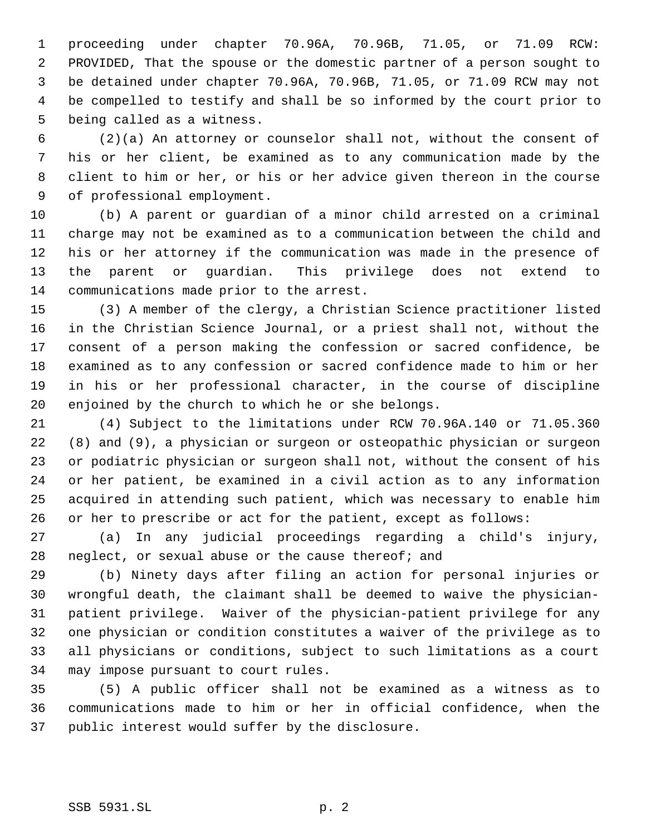proceeding under chapter 70.96A, 70.96B, 71.05, or 71.09 RCW: PROVIDED, That the spouse or the domestic partner of a person sought to be detained under chapter 70.96A, 70.96B, 71.05, or 71.09 RCW may not be compelled to testify and shall be so informed by the court prior to being called as a witness.

 (2)(a) An attorney or counselor shall not, without the consent of his or her client, be examined as to any communication made by the client to him or her, or his or her advice given thereon in the course of professional employment.

 (b) A parent or guardian of a minor child arrested on a criminal charge may not be examined as to a communication between the child and his or her attorney if the communication was made in the presence of the parent or guardian. This privilege does not extend to communications made prior to the arrest.

 (3) A member of the clergy, a Christian Science practitioner listed in the Christian Science Journal, or a priest shall not, without the consent of a person making the confession or sacred confidence, be examined as to any confession or sacred confidence made to him or her in his or her professional character, in the course of discipline enjoined by the church to which he or she belongs.

 (4) Subject to the limitations under RCW 70.96A.140 or 71.05.360 (8) and (9), a physician or surgeon or osteopathic physician or surgeon or podiatric physician or surgeon shall not, without the consent of his or her patient, be examined in a civil action as to any information acquired in attending such patient, which was necessary to enable him or her to prescribe or act for the patient, except as follows:

 (a) In any judicial proceedings regarding a child's injury, neglect, or sexual abuse or the cause thereof; and

 (b) Ninety days after filing an action for personal injuries or wrongful death, the claimant shall be deemed to waive the physician- patient privilege. Waiver of the physician-patient privilege for any one physician or condition constitutes a waiver of the privilege as to all physicians or conditions, subject to such limitations as a court may impose pursuant to court rules.

 (5) A public officer shall not be examined as a witness as to communications made to him or her in official confidence, when the public interest would suffer by the disclosure.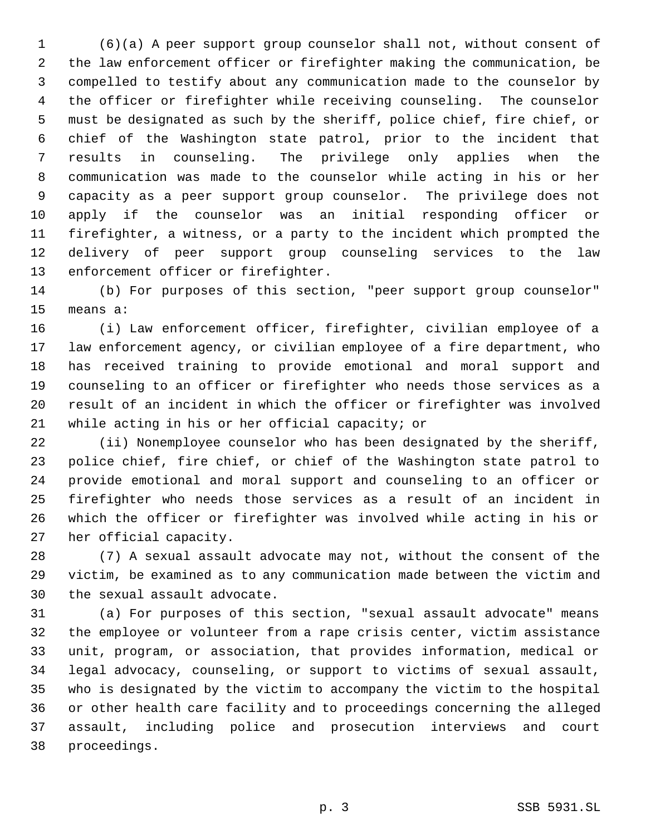(6)(a) A peer support group counselor shall not, without consent of the law enforcement officer or firefighter making the communication, be compelled to testify about any communication made to the counselor by the officer or firefighter while receiving counseling. The counselor must be designated as such by the sheriff, police chief, fire chief, or chief of the Washington state patrol, prior to the incident that results in counseling. The privilege only applies when the communication was made to the counselor while acting in his or her capacity as a peer support group counselor. The privilege does not apply if the counselor was an initial responding officer or firefighter, a witness, or a party to the incident which prompted the delivery of peer support group counseling services to the law enforcement officer or firefighter.

 (b) For purposes of this section, "peer support group counselor" means a:

 (i) Law enforcement officer, firefighter, civilian employee of a law enforcement agency, or civilian employee of a fire department, who has received training to provide emotional and moral support and counseling to an officer or firefighter who needs those services as a result of an incident in which the officer or firefighter was involved while acting in his or her official capacity; or

 (ii) Nonemployee counselor who has been designated by the sheriff, police chief, fire chief, or chief of the Washington state patrol to provide emotional and moral support and counseling to an officer or firefighter who needs those services as a result of an incident in which the officer or firefighter was involved while acting in his or her official capacity.

 (7) A sexual assault advocate may not, without the consent of the victim, be examined as to any communication made between the victim and the sexual assault advocate.

 (a) For purposes of this section, "sexual assault advocate" means the employee or volunteer from a rape crisis center, victim assistance unit, program, or association, that provides information, medical or legal advocacy, counseling, or support to victims of sexual assault, who is designated by the victim to accompany the victim to the hospital or other health care facility and to proceedings concerning the alleged assault, including police and prosecution interviews and court proceedings.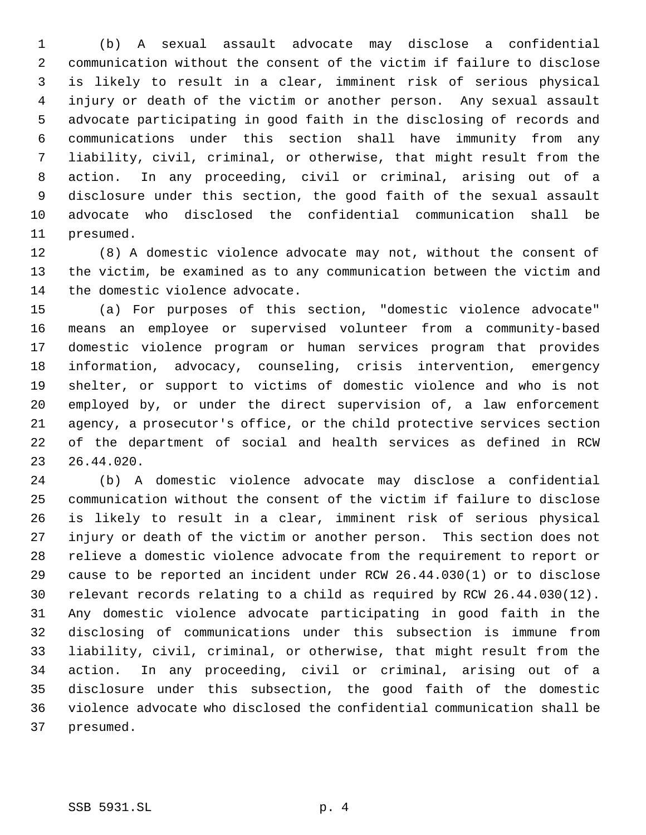(b) A sexual assault advocate may disclose a confidential communication without the consent of the victim if failure to disclose is likely to result in a clear, imminent risk of serious physical injury or death of the victim or another person. Any sexual assault advocate participating in good faith in the disclosing of records and communications under this section shall have immunity from any liability, civil, criminal, or otherwise, that might result from the action. In any proceeding, civil or criminal, arising out of a disclosure under this section, the good faith of the sexual assault advocate who disclosed the confidential communication shall be presumed.

 (8) A domestic violence advocate may not, without the consent of the victim, be examined as to any communication between the victim and the domestic violence advocate.

 (a) For purposes of this section, "domestic violence advocate" means an employee or supervised volunteer from a community-based domestic violence program or human services program that provides information, advocacy, counseling, crisis intervention, emergency shelter, or support to victims of domestic violence and who is not employed by, or under the direct supervision of, a law enforcement agency, a prosecutor's office, or the child protective services section of the department of social and health services as defined in RCW 26.44.020.

 (b) A domestic violence advocate may disclose a confidential communication without the consent of the victim if failure to disclose is likely to result in a clear, imminent risk of serious physical injury or death of the victim or another person. This section does not relieve a domestic violence advocate from the requirement to report or cause to be reported an incident under RCW 26.44.030(1) or to disclose relevant records relating to a child as required by RCW 26.44.030(12). Any domestic violence advocate participating in good faith in the disclosing of communications under this subsection is immune from liability, civil, criminal, or otherwise, that might result from the action. In any proceeding, civil or criminal, arising out of a disclosure under this subsection, the good faith of the domestic violence advocate who disclosed the confidential communication shall be presumed.